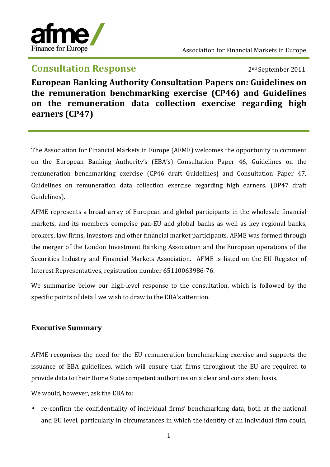

## **Consultation Response** 2011

**European Banking Authority Consultation Papers on: Guidelines on the remuneration benchmarking exercise (CP46) and Guidelines on the remuneration data collection exercise regarding high earners (CP47)** 

The Association for Financial Markets in Europe (AFME) welcomes the opportunity to comment on the European Banking Authority's (EBA's) Consultation Paper 46, Guidelines on the remuneration benchmarking exercise (CP46 draft Guidelines) and Consultation Paper 47, Guidelines on remuneration data collection exercise regarding high earners. (DP47 draft Guidelines).

AFME represents a broad array of European and global participants in the wholesale financial markets, and its members comprise pan‐EU and global banks as well as key regional banks, brokers, law firms, investors and other financial market participants. AFME was formed through the merger of the London Investment Banking Association and the European operations of the Securities Industry and Financial Markets Association. AFME is listed on the EU Register of Interest Representatives, registration number 65110063986‐76.

We summarise below our high-level response to the consultation, which is followed by the specific points of detail we wish to draw to the EBA's attention.

## **Executive Summary**

AFME recognises the need for the EU remuneration benchmarking exercise and supports the issuance of EBA guidelines, which will ensure that firms throughout the EU are required to provide data to their Home State competent authorities on a clear and consistent basis.

We would, however, ask the EBA to:

• re-confirm the confidentiality of individual firms' benchmarking data, both at the national and EU level, particularly in circumstances in which the identity of an individual firm could,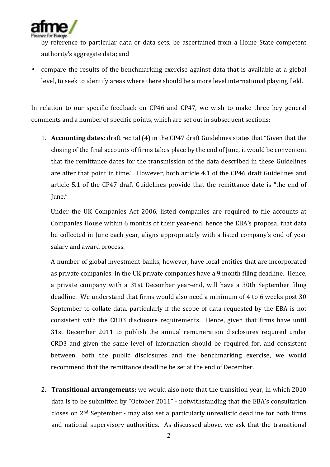

by reference to particular data or data sets, be ascertained from a Home State competent authority's aggregate data; and

• compare the results of the benchmarking exercise against data that is available at a global level, to seek to identify areas where there should be a more level international playing field.

In relation to our specific feedback on CP46 and CP47, we wish to make three key general comments and a number of specific points, which are set out in subsequent sections:

1. **Accounting dates:** draft recital (4) in the CP47 draft Guidelines states that "Given that the closing of the final accounts of firms takes place by the end of June, it would be convenient that the remittance dates for the transmission of the data described in these Guidelines are after that point in time." However, both article 4.1 of the CP46 draft Guidelines and article 5.1 of the CP47 draft Guidelines provide that the remittance date is "the end of June."

Under the UK Companies Act 2006, listed companies are required to file accounts at Companies House within 6 months of their year‐end: hence the EBA's proposal that data be collected in June each year, aligns appropriately with a listed company's end of year salary and award process.

A number of global investment banks, however, have local entities that are incorporated as private companies: in the UK private companies have a 9 month filing deadline. Hence, a private company with a 31st December year‐end, will have a 30th September filing deadline. We understand that firms would also need a minimum of 4 to 6 weeks post 30 September to collate data, particularly if the scope of data requested by the EBA is not consistent with the CRD3 disclosure requirements. Hence, given that firms have until 31st December 2011 to publish the annual remuneration disclosures required under CRD3 and given the same level of information should be required for, and consistent between, both the public disclosures and the benchmarking exercise, we would recommend that the remittance deadline be set at the end of December.

2. **Transitional arrangements:** we would also note that the transition year, in which 2010 data is to be submitted by "October 2011" ‐ notwithstanding that the EBA's consultation closes on 2nd September ‐ may also set a particularly unrealistic deadline for both firms and national supervisory authorities. As discussed above, we ask that the transitional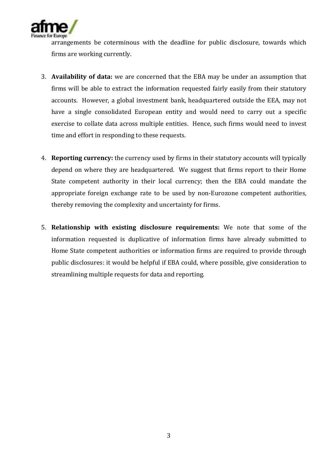

arrangements be coterminous with the deadline for public disclosure, towards which firms are working currently.

- 3. **Availability of data:** we are concerned that the EBA may be under an assumption that firms will be able to extract the information requested fairly easily from their statutory accounts. However, a global investment bank, headquartered outside the EEA, may not have a single consolidated European entity and would need to carry out a specific exercise to collate data across multiple entities. Hence, such firms would need to invest time and effort in responding to these requests.
- 4. **Reporting currency:** the currency used by firms in their statutory accounts will typically depend on where they are headquartered. We suggest that firms report to their Home State competent authority in their local currency; then the EBA could mandate the appropriate foreign exchange rate to be used by non‐Eurozone competent authorities, thereby removing the complexity and uncertainty for firms.
- 5. **Relationship with existing disclosure requirements:** We note that some of the information requested is duplicative of information firms have already submitted to Home State competent authorities or information firms are required to provide through public disclosures: it would be helpful if EBA could, where possible, give consideration to streamlining multiple requests for data and reporting.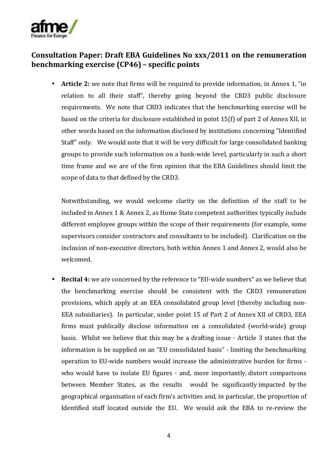

## **Consultation Paper: Draft EBA Guidelines No xxx/2011 on the remuneration benchmarking exercise (CP46) – specific points**

• **Article 2:** we note that firms will be required to provide information, in Annex 1, "in relation to all their staff", thereby going beyond the CRD3 public disclosure requirements. We note that CRD3 indicates that the benchmarking exercise will be based on the criteria for disclosure established in point 15(f) of part 2 of Annex XII, in other words based on the information disclosed by institutions concerning "Identified Staff" only. We would note that it will be very difficult for large consolidated banking groups to provide such information on a bank‐wide level, particularly in such a short time frame and we are of the firm opinion that the EBA Guidelines should limit the scope of data to that defined by the CRD3.

Notwithstanding, we would welcome clarity on the definition of the staff to be included in Annex 1 & Annex 2, as Home State competent authorities typically include different employee groups within the scope of their requirements (for example, some supervisors consider contractors and consultants to be included). Clarification on the inclusion of non‐executive directors, both within Annex 1 and Annex 2, would also be welcomed.

**Recital 4:** we are concerned by the reference to "EU-wide numbers" as we believe that the benchmarking exercise should be consistent with the CRD3 remuneration provisions, which apply at an EEA consolidated group level (thereby including non‐ EEA subsidiaries). In particular, under point 15 of Part 2 of Annex XII of CRD3, EEA firms must publically disclose information on a consolidated (world‐wide) group basis. Whilst we believe that this may be a drafting issue ‐ Article 3 states that the information is be supplied on an "EU consolidated basis" ‐ limiting the benchmarking operation to EU‐wide numbers would increase the administrative burden for firms ‐ who would have to isolate EU figures - and, more importantly, distort comparisons between Member States, as the results would be significantly impacted by the geographical organisation of each firm's activities and, in particular, the proportion of Identified staff located outside the EU. We would ask the EBA to re‐review the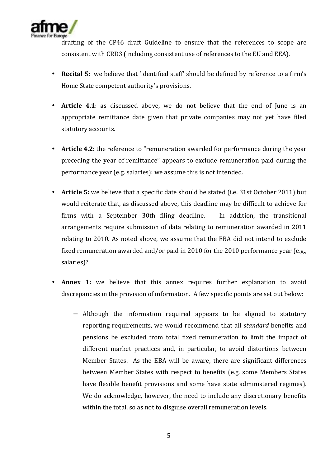

drafting of the CP46 draft Guideline to ensure that the references to scope are consistent with CRD3 (including consistent use of references to the EU and EEA).

- **Recital 5:** we believe that 'identified staff' should be defined by reference to a firm's Home State competent authority's provisions.
- **Article 4.1**: as discussed above, we do not believe that the end of June is an appropriate remittance date given that private companies may not yet have filed statutory accounts.
- **Article 4.2**: the reference to "remuneration awarded for performance during the year preceding the year of remittance" appears to exclude remuneration paid during the performance year (e.g. salaries): we assume this is not intended.
- **Article 5:** we believe that a specific date should be stated (i.e. 31st October 2011) but would reiterate that, as discussed above, this deadline may be difficult to achieve for firms with a September 30th filing deadline. In addition, the transitional arrangements require submission of data relating to remuneration awarded in 2011 relating to 2010. As noted above, we assume that the EBA did not intend to exclude fixed remuneration awarded and/or paid in 2010 for the 2010 performance year (e.g., salaries)?
- Annex 1: we believe that this annex requires further explanation to avoid discrepancies in the provision of information. A few specific points are set out below:
	- − Although the information required appears to be aligned to statutory reporting requirements, we would recommend that all *standard* benefits and pensions be excluded from total fixed remuneration to limit the impact of different market practices and, in particular, to avoid distortions between Member States. As the EBA will be aware, there are significant differences between Member States with respect to benefits (e.g. some Members States have flexible benefit provisions and some have state administered regimes). We do acknowledge, however, the need to include any discretionary benefits within the total, so as not to disguise overall remuneration levels.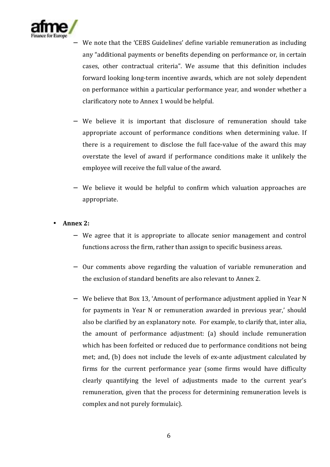

- We note that the 'CEBS Guidelines' define variable remuneration as including any "additional payments or benefits depending on performance or, in certain cases, other contractual criteria". We assume that this definition includes forward looking long‐term incentive awards, which are not solely dependent on performance within a particular performance year, and wonder whether a clarificatory note to Annex 1 would be helpful.
- We believe it is important that disclosure of remuneration should take appropriate account of performance conditions when determining value. If there is a requirement to disclose the full face‐value of the award this may overstate the level of award if performance conditions make it unlikely the employee will receive the full value of the award.
- − We believe it would be helpful to confirm which valuation approaches are appropriate.
- **Annex 2:**
	- − We agree that it is appropriate to allocate senior management and control functions across the firm, rather than assign to specific business areas.
	- − Our comments above regarding the valuation of variable remuneration and the exclusion of standard benefits are also relevant to Annex 2.
	- − We believe that Box 13, 'Amount of performance adjustment applied in Year N for payments in Year N or remuneration awarded in previous year,' should also be clarified by an explanatory note. For example, to clarify that, inter alia, the amount of performance adjustment: (a) should include remuneration which has been forfeited or reduced due to performance conditions not being met; and, (b) does not include the levels of ex-ante adjustment calculated by firms for the current performance year (some firms would have difficulty clearly quantifying the level of adjustments made to the current year's remuneration, given that the process for determining remuneration levels is complex and not purely formulaic).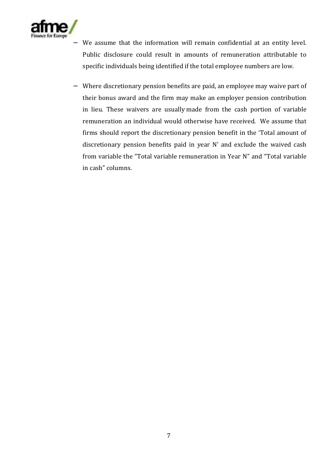

- We assume that the information will remain confidential at an entity level. Public disclosure could result in amounts of remuneration attributable to specific individuals being identified if the total employee numbers are low.
- − Where discretionary pension benefits are paid, an employee may waive part of their bonus award and the firm may make an employer pension contribution in lieu. These waivers are usually made from the cash portion of variable remuneration an individual would otherwise have received. We assume that firms should report the discretionary pension benefit in the 'Total amount of discretionary pension benefits paid in year N' and exclude the waived cash from variable the "Total variable remuneration in Year N" and "Total variable in cash" columns.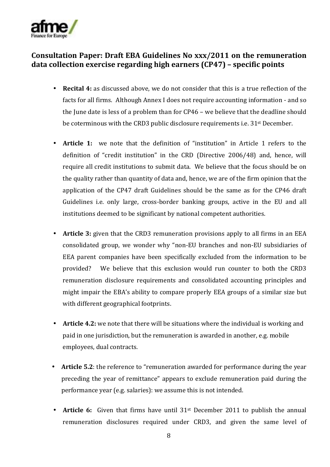

## **Consultation Paper: Draft EBA Guidelines No xxx/2011 on the remuneration data collection exercise regarding high earners (CP47) – specific points**

- **Recital 4:** as discussed above, we do not consider that this is a true reflection of the facts for all firms. Although Annex I does not require accounting information ‐ and so the June date is less of a problem than for CP46 – we believe that the deadline should be coterminous with the CRD3 public disclosure requirements i.e. 31st December.
- **Article 1:** we note that the definition of "institution" in Article 1 refers to the definition of "credit institution" in the CRD (Directive 2006/48) and, hence, will require all credit institutions to submit data. We believe that the focus should be on the quality rather than quantity of data and, hence, we are of the firm opinion that the application of the CP47 draft Guidelines should be the same as for the CP46 draft Guidelines i.e. only large, cross‐border banking groups, active in the EU and all institutions deemed to be significant by national competent authorities.
- **Article 3:** given that the CRD3 remuneration provisions apply to all firms in an EEA consolidated group, we wonder why "non‐EU branches and non‐EU subsidiaries of EEA parent companies have been specifically excluded from the information to be provided? We believe that this exclusion would run counter to both the CRD3 remuneration disclosure requirements and consolidated accounting principles and might impair the EBA's ability to compare properly EEA groups of a similar size but with different geographical footprints.
- **Article 4.2:** we note that there will be situations where the individual is working and paid in one jurisdiction, but the remuneration is awarded in another, e.g. mobile employees, dual contracts.
- **Article 5.2**: the reference to "remuneration awarded for performance during the year preceding the year of remittance" appears to exclude remuneration paid during the performance year (e.g. salaries): we assume this is not intended.
- **Article 6:** Given that firms have until 31<sup>st</sup> December 2011 to publish the annual remuneration disclosures required under CRD3, and given the same level of